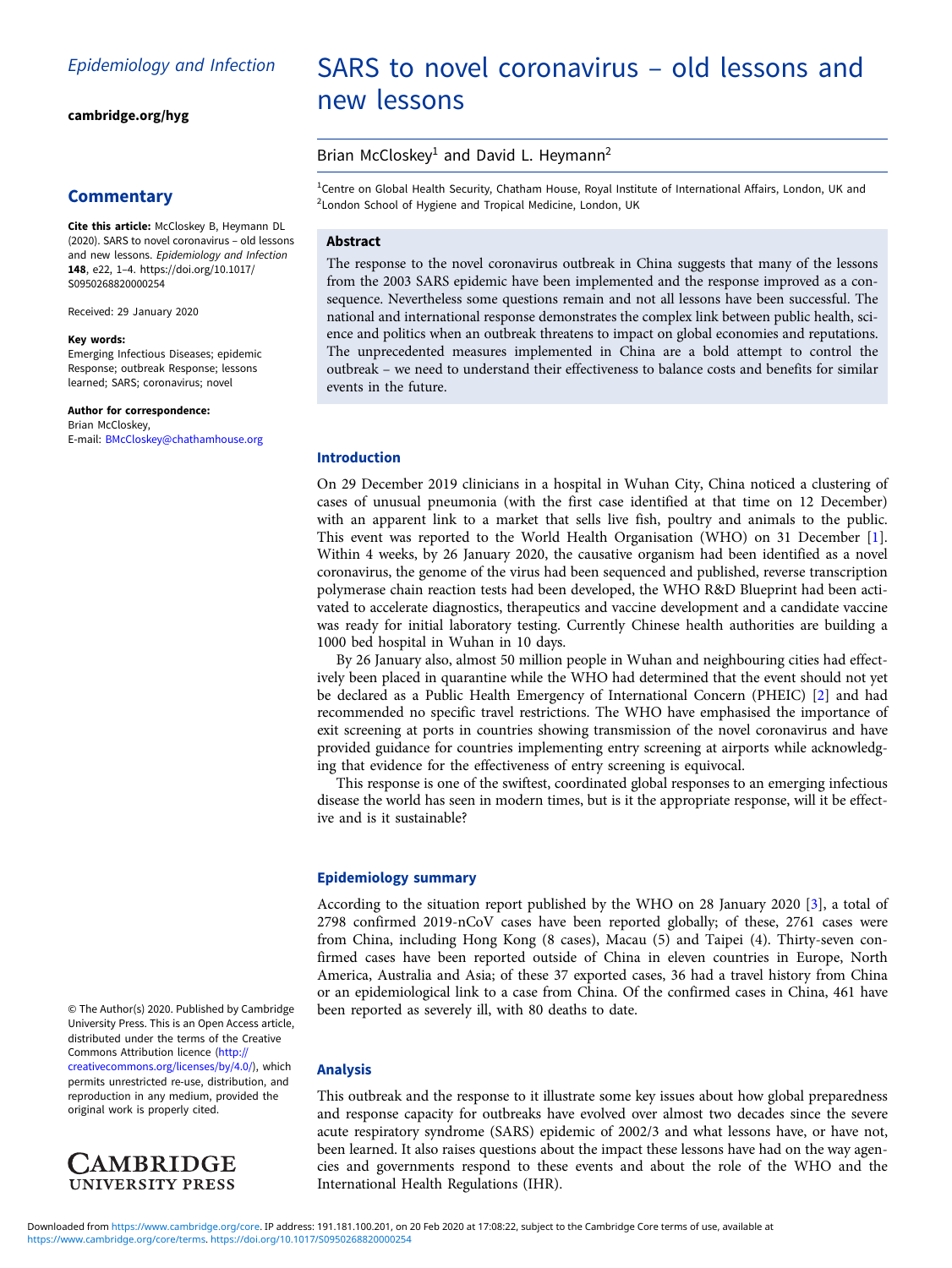[cambridge.org/hyg](https://www.cambridge.org/hyg)

# **Commentary**

Cite this article: McCloskey B, Heymann DL (2020). SARS to novel coronavirus – old lessons and new lessons. Epidemiology and Infection 148, e22, 1–4. [https://doi.org/10.1017/](https://doi.org/10.1017/S0950268820000254) [S0950268820000254](https://doi.org/10.1017/S0950268820000254)

Received: 29 January 2020

#### Key words:

Emerging Infectious Diseases; epidemic Response; outbreak Response; lessons learned; SARS; coronavirus; novel

#### Author for correspondence:

Brian McCloskey, E-mail: [BMcCloskey@chathamhouse.org](mailto:BMcCloskey@chathamhouse.org)

# SARS to novel coronavirus – old lessons and new lessons

## Brian McCloskey<sup>1</sup> and David L. Heymann<sup>2</sup>

<sup>1</sup>Centre on Global Health Security, Chatham House, Royal Institute of International Affairs, London, UK and <sup>2</sup> London School of Hygiene and Tropical Medicine, London, UK

# Abstract

The response to the novel coronavirus outbreak in China suggests that many of the lessons from the 2003 SARS epidemic have been implemented and the response improved as a consequence. Nevertheless some questions remain and not all lessons have been successful. The national and international response demonstrates the complex link between public health, science and politics when an outbreak threatens to impact on global economies and reputations. The unprecedented measures implemented in China are a bold attempt to control the outbreak – we need to understand their effectiveness to balance costs and benefits for similar events in the future.

## Introduction

On 29 December 2019 clinicians in a hospital in Wuhan City, China noticed a clustering of cases of unusual pneumonia (with the first case identified at that time on 12 December) with an apparent link to a market that sells live fish, poultry and animals to the public. This event was reported to the World Health Organisation (WHO) on 31 December [[1](#page-3-0)]. Within 4 weeks, by 26 January 2020, the causative organism had been identified as a novel coronavirus, the genome of the virus had been sequenced and published, reverse transcription polymerase chain reaction tests had been developed, the WHO R&D Blueprint had been activated to accelerate diagnostics, therapeutics and vaccine development and a candidate vaccine was ready for initial laboratory testing. Currently Chinese health authorities are building a 1000 bed hospital in Wuhan in 10 days.

By 26 January also, almost 50 million people in Wuhan and neighbouring cities had effectively been placed in quarantine while the WHO had determined that the event should not yet be declared as a Public Health Emergency of International Concern (PHEIC) [[2](#page-3-0)] and had recommended no specific travel restrictions. The WHO have emphasised the importance of exit screening at ports in countries showing transmission of the novel coronavirus and have provided guidance for countries implementing entry screening at airports while acknowledging that evidence for the effectiveness of entry screening is equivocal.

This response is one of the swiftest, coordinated global responses to an emerging infectious disease the world has seen in modern times, but is it the appropriate response, will it be effective and is it sustainable?

## Epidemiology summary

According to the situation report published by the WHO on 28 January 2020 [\[3\]](#page-3-0), a total of 2798 confirmed 2019-nCoV cases have been reported globally; of these, 2761 cases were from China, including Hong Kong (8 cases), Macau (5) and Taipei (4). Thirty-seven confirmed cases have been reported outside of China in eleven countries in Europe, North America, Australia and Asia; of these 37 exported cases, 36 had a travel history from China or an epidemiological link to a case from China. Of the confirmed cases in China, 461 have been reported as severely ill, with 80 deaths to date.

#### Analysis

This outbreak and the response to it illustrate some key issues about how global preparedness and response capacity for outbreaks have evolved over almost two decades since the severe acute respiratory syndrome (SARS) epidemic of 2002/3 and what lessons have, or have not, been learned. It also raises questions about the impact these lessons have had on the way agencies and governments respond to these events and about the role of the WHO and the International Health Regulations (IHR).

© The Author(s) 2020. Published by Cambridge University Press. This is an Open Access article, distributed under the terms of the Creative Commons Attribution licence ([http://](http://creativecommons.org/licenses/by/4.0/) [creativecommons.org/licenses/by/4.0/](http://creativecommons.org/licenses/by/4.0/)), which permits unrestricted re-use, distribution, and reproduction in any medium, provided the original work is properly cited.

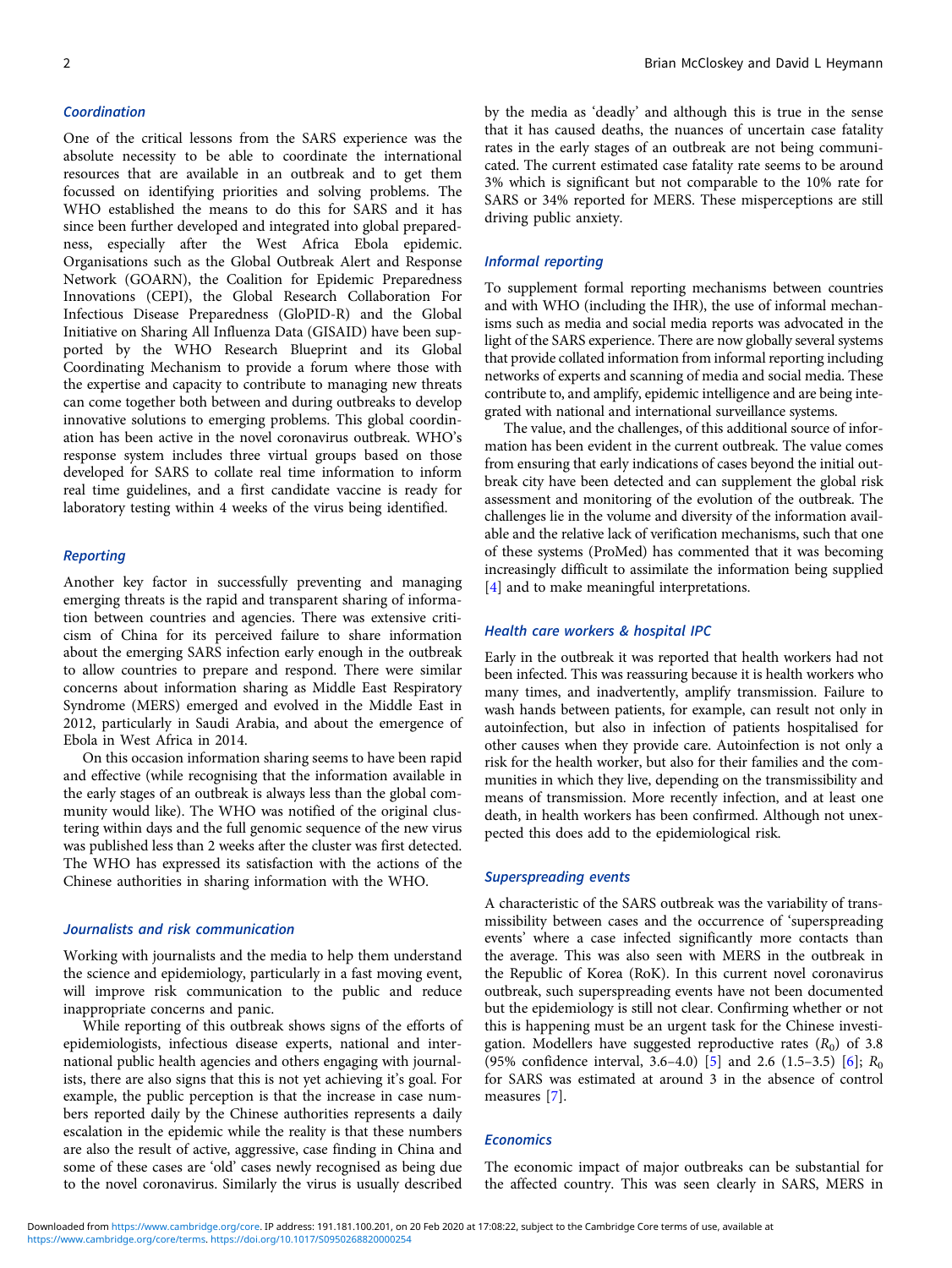#### Coordination

One of the critical lessons from the SARS experience was the absolute necessity to be able to coordinate the international resources that are available in an outbreak and to get them focussed on identifying priorities and solving problems. The WHO established the means to do this for SARS and it has since been further developed and integrated into global preparedness, especially after the West Africa Ebola epidemic. Organisations such as the Global Outbreak Alert and Response Network (GOARN), the Coalition for Epidemic Preparedness Innovations (CEPI), the Global Research Collaboration For Infectious Disease Preparedness (GloPID-R) and the Global Initiative on Sharing All Influenza Data (GISAID) have been supported by the WHO Research Blueprint and its Global Coordinating Mechanism to provide a forum where those with the expertise and capacity to contribute to managing new threats can come together both between and during outbreaks to develop innovative solutions to emerging problems. This global coordination has been active in the novel coronavirus outbreak. WHO's response system includes three virtual groups based on those developed for SARS to collate real time information to inform real time guidelines, and a first candidate vaccine is ready for laboratory testing within 4 weeks of the virus being identified.

## Reporting

Another key factor in successfully preventing and managing emerging threats is the rapid and transparent sharing of information between countries and agencies. There was extensive criticism of China for its perceived failure to share information about the emerging SARS infection early enough in the outbreak to allow countries to prepare and respond. There were similar concerns about information sharing as Middle East Respiratory Syndrome (MERS) emerged and evolved in the Middle East in 2012, particularly in Saudi Arabia, and about the emergence of Ebola in West Africa in 2014.

On this occasion information sharing seems to have been rapid and effective (while recognising that the information available in the early stages of an outbreak is always less than the global community would like). The WHO was notified of the original clustering within days and the full genomic sequence of the new virus was published less than 2 weeks after the cluster was first detected. The WHO has expressed its satisfaction with the actions of the Chinese authorities in sharing information with the WHO.

## Journalists and risk communication

Working with journalists and the media to help them understand the science and epidemiology, particularly in a fast moving event, will improve risk communication to the public and reduce inappropriate concerns and panic.

While reporting of this outbreak shows signs of the efforts of epidemiologists, infectious disease experts, national and international public health agencies and others engaging with journalists, there are also signs that this is not yet achieving it's goal. For example, the public perception is that the increase in case numbers reported daily by the Chinese authorities represents a daily escalation in the epidemic while the reality is that these numbers are also the result of active, aggressive, case finding in China and some of these cases are 'old' cases newly recognised as being due to the novel coronavirus. Similarly the virus is usually described

by the media as 'deadly' and although this is true in the sense that it has caused deaths, the nuances of uncertain case fatality rates in the early stages of an outbreak are not being communicated. The current estimated case fatality rate seems to be around 3% which is significant but not comparable to the 10% rate for SARS or 34% reported for MERS. These misperceptions are still driving public anxiety.

## Informal reporting

To supplement formal reporting mechanisms between countries and with WHO (including the IHR), the use of informal mechanisms such as media and social media reports was advocated in the light of the SARS experience. There are now globally several systems that provide collated information from informal reporting including networks of experts and scanning of media and social media. These contribute to, and amplify, epidemic intelligence and are being integrated with national and international surveillance systems.

The value, and the challenges, of this additional source of information has been evident in the current outbreak. The value comes from ensuring that early indications of cases beyond the initial outbreak city have been detected and can supplement the global risk assessment and monitoring of the evolution of the outbreak. The challenges lie in the volume and diversity of the information available and the relative lack of verification mechanisms, such that one of these systems (ProMed) has commented that it was becoming increasingly difficult to assimilate the information being supplied [[4](#page-3-0)] and to make meaningful interpretations.

## Health care workers & hospital IPC

Early in the outbreak it was reported that health workers had not been infected. This was reassuring because it is health workers who many times, and inadvertently, amplify transmission. Failure to wash hands between patients, for example, can result not only in autoinfection, but also in infection of patients hospitalised for other causes when they provide care. Autoinfection is not only a risk for the health worker, but also for their families and the communities in which they live, depending on the transmissibility and means of transmission. More recently infection, and at least one death, in health workers has been confirmed. Although not unexpected this does add to the epidemiological risk.

## Superspreading events

A characteristic of the SARS outbreak was the variability of transmissibility between cases and the occurrence of 'superspreading events' where a case infected significantly more contacts than the average. This was also seen with MERS in the outbreak in the Republic of Korea (RoK). In this current novel coronavirus outbreak, such superspreading events have not been documented but the epidemiology is still not clear. Confirming whether or not this is happening must be an urgent task for the Chinese investigation. Modellers have suggested reproductive rates  $(R_0)$  of 3.8 (95% confidence interval, 3.6–4.0) [\[5\]](#page-3-0) and 2.6 (1.5–3.5) [[6\]](#page-3-0);  $R_0$ for SARS was estimated at around 3 in the absence of control measures [[7](#page-3-0)].

## **Economics**

The economic impact of major outbreaks can be substantial for the affected country. This was seen clearly in SARS, MERS in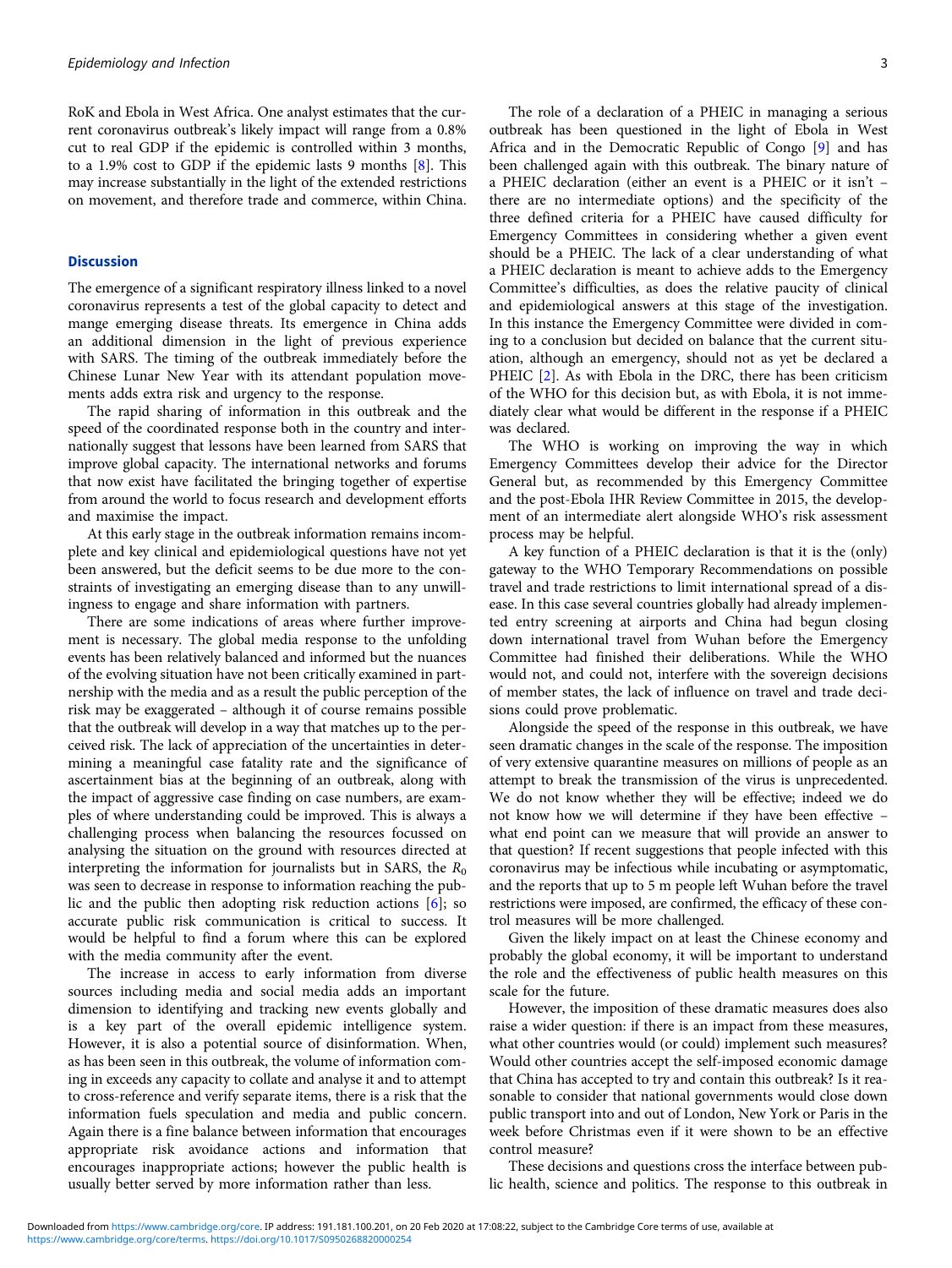RoK and Ebola in West Africa. One analyst estimates that the current coronavirus outbreak's likely impact will range from a 0.8% cut to real GDP if the epidemic is controlled within 3 months, to a 1.9% cost to GDP if the epidemic lasts 9 months [[8](#page-3-0)]. This may increase substantially in the light of the extended restrictions on movement, and therefore trade and commerce, within China.

## **Discussion**

The emergence of a significant respiratory illness linked to a novel coronavirus represents a test of the global capacity to detect and mange emerging disease threats. Its emergence in China adds an additional dimension in the light of previous experience with SARS. The timing of the outbreak immediately before the Chinese Lunar New Year with its attendant population movements adds extra risk and urgency to the response.

The rapid sharing of information in this outbreak and the speed of the coordinated response both in the country and internationally suggest that lessons have been learned from SARS that improve global capacity. The international networks and forums that now exist have facilitated the bringing together of expertise from around the world to focus research and development efforts and maximise the impact.

At this early stage in the outbreak information remains incomplete and key clinical and epidemiological questions have not yet been answered, but the deficit seems to be due more to the constraints of investigating an emerging disease than to any unwillingness to engage and share information with partners.

There are some indications of areas where further improvement is necessary. The global media response to the unfolding events has been relatively balanced and informed but the nuances of the evolving situation have not been critically examined in partnership with the media and as a result the public perception of the risk may be exaggerated – although it of course remains possible that the outbreak will develop in a way that matches up to the perceived risk. The lack of appreciation of the uncertainties in determining a meaningful case fatality rate and the significance of ascertainment bias at the beginning of an outbreak, along with the impact of aggressive case finding on case numbers, are examples of where understanding could be improved. This is always a challenging process when balancing the resources focussed on analysing the situation on the ground with resources directed at interpreting the information for journalists but in SARS, the  $R_0$ was seen to decrease in response to information reaching the public and the public then adopting risk reduction actions [[6](#page-3-0)]; so accurate public risk communication is critical to success. It would be helpful to find a forum where this can be explored with the media community after the event.

The increase in access to early information from diverse sources including media and social media adds an important dimension to identifying and tracking new events globally and is a key part of the overall epidemic intelligence system. However, it is also a potential source of disinformation. When, as has been seen in this outbreak, the volume of information coming in exceeds any capacity to collate and analyse it and to attempt to cross-reference and verify separate items, there is a risk that the information fuels speculation and media and public concern. Again there is a fine balance between information that encourages appropriate risk avoidance actions and information that encourages inappropriate actions; however the public health is usually better served by more information rather than less.

The role of a declaration of a PHEIC in managing a serious outbreak has been questioned in the light of Ebola in West Africa and in the Democratic Republic of Congo [[9](#page-3-0)] and has been challenged again with this outbreak. The binary nature of a PHEIC declaration (either an event is a PHEIC or it isn't – there are no intermediate options) and the specificity of the three defined criteria for a PHEIC have caused difficulty for Emergency Committees in considering whether a given event should be a PHEIC. The lack of a clear understanding of what a PHEIC declaration is meant to achieve adds to the Emergency Committee's difficulties, as does the relative paucity of clinical and epidemiological answers at this stage of the investigation. In this instance the Emergency Committee were divided in coming to a conclusion but decided on balance that the current situation, although an emergency, should not as yet be declared a PHEIC [\[2\]](#page-3-0). As with Ebola in the DRC, there has been criticism of the WHO for this decision but, as with Ebola, it is not immediately clear what would be different in the response if a PHEIC was declared.

The WHO is working on improving the way in which Emergency Committees develop their advice for the Director General but, as recommended by this Emergency Committee and the post-Ebola IHR Review Committee in 2015, the development of an intermediate alert alongside WHO's risk assessment process may be helpful.

A key function of a PHEIC declaration is that it is the (only) gateway to the WHO Temporary Recommendations on possible travel and trade restrictions to limit international spread of a disease. In this case several countries globally had already implemented entry screening at airports and China had begun closing down international travel from Wuhan before the Emergency Committee had finished their deliberations. While the WHO would not, and could not, interfere with the sovereign decisions of member states, the lack of influence on travel and trade decisions could prove problematic.

Alongside the speed of the response in this outbreak, we have seen dramatic changes in the scale of the response. The imposition of very extensive quarantine measures on millions of people as an attempt to break the transmission of the virus is unprecedented. We do not know whether they will be effective; indeed we do not know how we will determine if they have been effective – what end point can we measure that will provide an answer to that question? If recent suggestions that people infected with this coronavirus may be infectious while incubating or asymptomatic, and the reports that up to 5 m people left Wuhan before the travel restrictions were imposed, are confirmed, the efficacy of these control measures will be more challenged.

Given the likely impact on at least the Chinese economy and probably the global economy, it will be important to understand the role and the effectiveness of public health measures on this scale for the future.

However, the imposition of these dramatic measures does also raise a wider question: if there is an impact from these measures, what other countries would (or could) implement such measures? Would other countries accept the self-imposed economic damage that China has accepted to try and contain this outbreak? Is it reasonable to consider that national governments would close down public transport into and out of London, New York or Paris in the week before Christmas even if it were shown to be an effective control measure?

These decisions and questions cross the interface between public health, science and politics. The response to this outbreak in